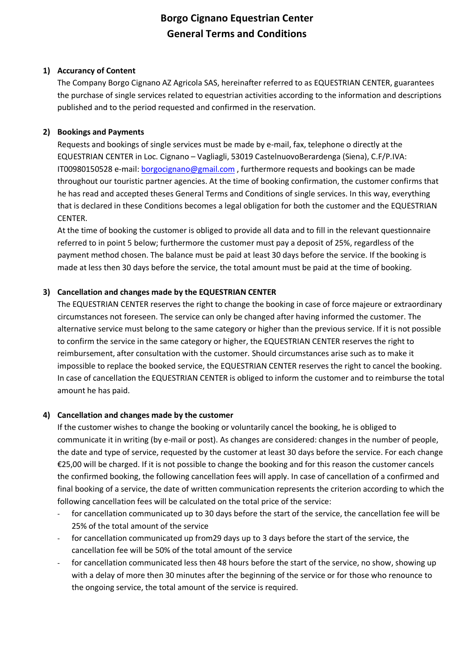# **Borgo Cignano Equestrian Center General Terms and Conditions**

# **1) Accurancy of Content**

The Company Borgo Cignano AZ Agricola SAS, hereinafter referred to as EQUESTRIAN CENTER, guarantees the purchase of single services related to equestrian activities according to the information and descriptions published and to the period requested and confirmed in the reservation.

# **2) Bookings and Payments**

Requests and bookings of single services must be made by e-mail, fax, telephone o directly at the EQUESTRIAN CENTER in Loc. Cignano – Vagliagli, 53019 CastelnuovoBerardenga (Siena), C.F/P.IVA: IT00980150528 e-mail: **borgocignano@gmail.com**, furthermore requests and bookings can be made throughout our touristic partner agencies. At the time of booking confirmation, the customer confirms that he has read and accepted theses General Terms and Conditions of single services. In this way, everything that is declared in these Conditions becomes a legal obligation for both the customer and the EQUESTRIAN CENTER.

At the time of booking the customer is obliged to provide all data and to fill in the relevant questionnaire referred to in point 5 below; furthermore the customer must pay a deposit of 25%, regardless of the payment method chosen. The balance must be paid at least 30 days before the service. If the booking is made at less then 30 days before the service, the total amount must be paid at the time of booking.

# **3) Cancellation and changes made by the EQUESTRIAN CENTER**

The EQUESTRIAN CENTER reserves the right to change the booking in case of force majeure or extraordinary circumstances not foreseen. The service can only be changed after having informed the customer. The alternative service must belong to the same category or higher than the previous service. If it is not possible to confirm the service in the same category or higher, the EQUESTRIAN CENTER reserves the right to reimbursement, after consultation with the customer. Should circumstances arise such as to make it impossible to replace the booked service, the EQUESTRIAN CENTER reserves the right to cancel the booking. In case of cancellation the EQUESTRIAN CENTER is obliged to inform the customer and to reimburse the total amount he has paid.

#### **4) Cancellation and changes made by the customer**

If the customer wishes to change the booking or voluntarily cancel the booking, he is obliged to communicate it in writing (by e-mail or post). As changes are considered: changes in the number of people, the date and type of service, requested by the customer at least 30 days before the service. For each change €25,00 will be charged. If it is not possible to change the booking and for this reason the customer cancels the confirmed booking, the following cancellation fees will apply. In case of cancellation of a confirmed and final booking of a service, the date of written communication represents the criterion according to which the following cancellation fees will be calculated on the total price of the service:

- for cancellation communicated up to 30 days before the start of the service, the cancellation fee will be 25% of the total amount of the service
- for cancellation communicated up from 29 days up to 3 days before the start of the service, the cancellation fee will be 50% of the total amount of the service
- for cancellation communicated less then 48 hours before the start of the service, no show, showing up with a delay of more then 30 minutes after the beginning of the service or for those who renounce to the ongoing service, the total amount of the service is required.